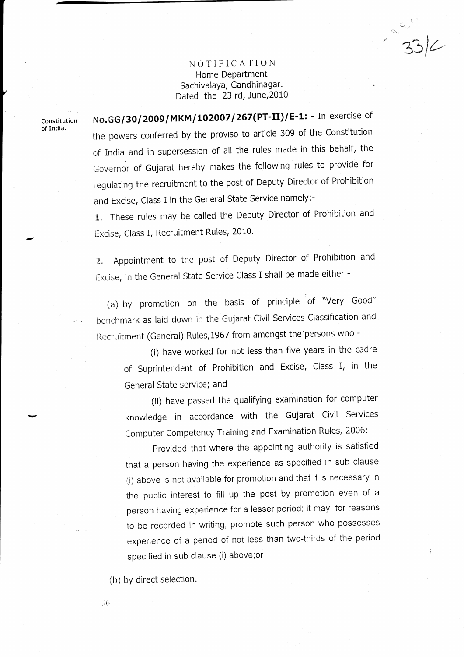## NOTIFICATION Home Department Sachivalaya, Gandhinagar. Dated the 23 rd, June,2010

 $-23/6$ 

Constitution of India,

No.GG/30/2009/MKM/102007/267(PT-II)/E-1: - In exercise of the powers conferred by the proviso to article 309 of the constitution of India and in supersession of all the rules made in this behalf, the Governor of Gujarat hereby makes the following rules to provide for regulating the recruitment to the post of Deputy Director of Prohibition and Excise, Class I in the General State Service namely:-

I. These rules may be called the Deputy Director of Prohibition and Excise, Class I, Recruitment Rules, 2010.

2. Appointment to the post of Deputy Director of Prohibition and Excise, in the General State Service Class I shall be made either -

(a) by promotion on the basis of principle of "Very Good" benchmark as laid down in the Gujarat Civil Services Classification and Recruitment (General) Rules,1967 from amongst the persons who -

> (i) have worked for not less than five years in the cadre of Suprintendent of Prohibition and Excise, class l, in the General State service; and

> (ii) have passed the qualifying examination for computer knowledge in accordance with the Gujarat Civil Services Computer Competency Training and Examination Rules, 2006:

Provided that where the appointing authority is satisfied that a person having the experience as specified in suh clause (i) above is not available for promotion and that it is necessary in the public interest to fill up the post by promotion even of <sup>a</sup> person having experience for a lesser period; it may, for reasons to be recorded in writing, promote such person who possesses experience of a period of not less than two-thirds of the period specified in sub clause (i) above;or

(b) by direct selection.

 $\mathcal{S}(\cdot)$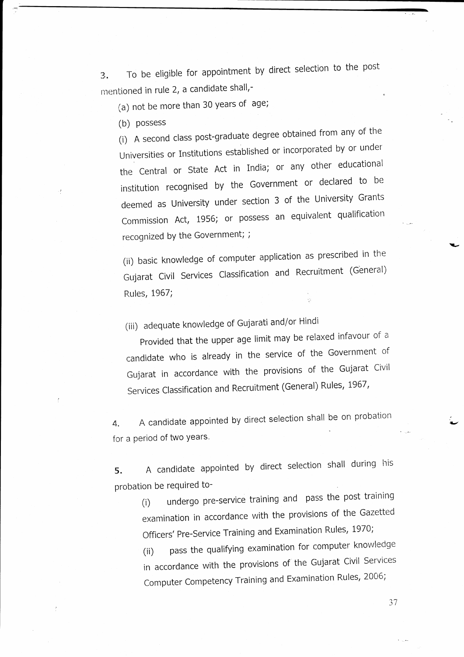3. To be eligible for appointment by direct selection to the post mentioned in rule 2, a candidate shall,-

(a) not be more than 30 years of age;

(b) Possess

 $\cdot$ 

(i) A second class post-graduate degree obtained from any of the universitles or Institutions established or incorporated by or under the Central or State Act in India; or any other educational institution recognised by the Government or declared to be deemed as University under section 3 of the University Grants Commission Act, 1956; or possess an equivalent qualification recognized bY the Government; ;

(ii) basic knowledge of computer application as prescribed in the Gujarat Civil Services Classification and Recruitment (General) Rules, 1967;

(iii) adequate knowledge of Gujarati and/or Hindi

Provided that the upper age limit may be relaxed infavour of a candidate who is already in the service of the Government of Gujarat in accordance with the provisions of the Gujarat Civil Services Classification and Recruitment (General) Rules, 1967,

4. A candidate appointed by direct selection shall be on probation for a period of two years.

5. A candidate appointed by direct selection shall during his probation be required to-

(i) undergo pre-service training and pass the post training examination in accordance with the provisions of the Gazetted Officers' Pre-Service Training and Examination Rules, 1970;

(ii) pass the qualifying examination for computer knowledge in accordance with the provisions of the Gujarat Civil Services Computer Competency Training and Examination Rules, 2006;

37

 $\leq$  .